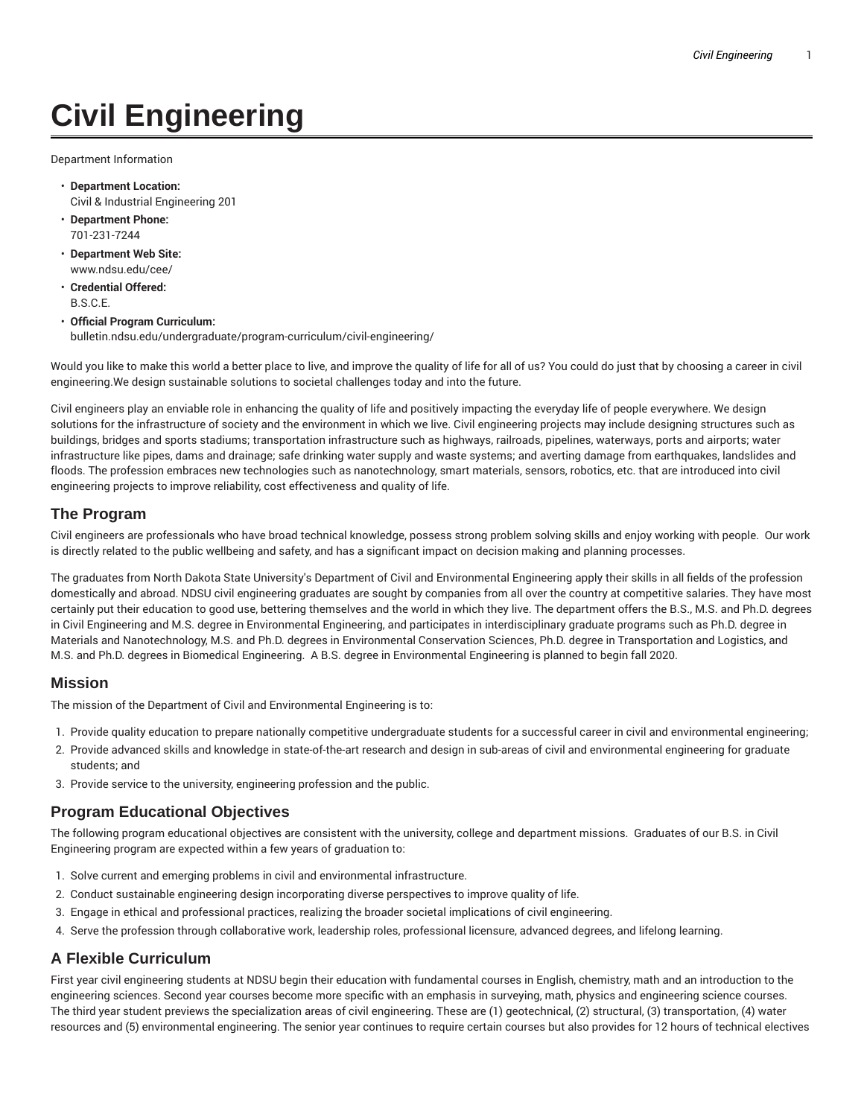# **Civil Engineering**

Department Information

- **Department Location:** Civil & Industrial Engineering 201
- **Department Phone:** 701-231-7244
- **Department Web Site:** www.ndsu.edu/cee/
- **Credential Offered:** B.S.C.E.
- **Official Program Curriculum:** bulletin.ndsu.edu/undergraduate/program-curriculum/civil-engineering/

Would you like to make this world a better place to live, and improve the quality of life for all of us? You could do just that by choosing a career in civil engineering.We design sustainable solutions to societal challenges today and into the future.

Civil engineers play an enviable role in enhancing the quality of life and positively impacting the everyday life of people everywhere. We design solutions for the infrastructure of society and the environment in which we live. Civil engineering projects may include designing structures such as buildings, bridges and sports stadiums; transportation infrastructure such as highways, railroads, pipelines, waterways, ports and airports; water infrastructure like pipes, dams and drainage; safe drinking water supply and waste systems; and averting damage from earthquakes, landslides and floods. The profession embraces new technologies such as nanotechnology, smart materials, sensors, robotics, etc. that are introduced into civil engineering projects to improve reliability, cost effectiveness and quality of life.

#### **The Program**

Civil engineers are professionals who have broad technical knowledge, possess strong problem solving skills and enjoy working with people. Our work is directly related to the public wellbeing and safety, and has a significant impact on decision making and planning processes.

The graduates from North Dakota State University's Department of Civil and Environmental Engineering apply their skills in all fields of the profession domestically and abroad. NDSU civil engineering graduates are sought by companies from all over the country at competitive salaries. They have most certainly put their education to good use, bettering themselves and the world in which they live. The department offers the B.S., M.S. and Ph.D. degrees in Civil Engineering and M.S. degree in Environmental Engineering, and participates in interdisciplinary graduate programs such as Ph.D. degree in Materials and Nanotechnology, M.S. and Ph.D. degrees in Environmental Conservation Sciences, Ph.D. degree in Transportation and Logistics, and M.S. and Ph.D. degrees in Biomedical Engineering. A B.S. degree in Environmental Engineering is planned to begin fall 2020.

#### **Mission**

The mission of the Department of Civil and Environmental Engineering is to:

- 1. Provide quality education to prepare nationally competitive undergraduate students for a successful career in civil and environmental engineering;
- 2. Provide advanced skills and knowledge in state-of-the-art research and design in sub-areas of civil and environmental engineering for graduate students; and
- 3. Provide service to the university, engineering profession and the public.

#### **Program Educational Objectives**

The following program educational objectives are consistent with the university, college and department missions. Graduates of our B.S. in Civil Engineering program are expected within a few years of graduation to:

- 1. Solve current and emerging problems in civil and environmental infrastructure.
- 2. Conduct sustainable engineering design incorporating diverse perspectives to improve quality of life.
- 3. Engage in ethical and professional practices, realizing the broader societal implications of civil engineering.
- 4. Serve the profession through collaborative work, leadership roles, professional licensure, advanced degrees, and lifelong learning.

## **A Flexible Curriculum**

First year civil engineering students at NDSU begin their education with fundamental courses in English, chemistry, math and an introduction to the engineering sciences. Second year courses become more specific with an emphasis in surveying, math, physics and engineering science courses. The third year student previews the specialization areas of civil engineering. These are (1) geotechnical, (2) structural, (3) transportation, (4) water resources and (5) environmental engineering. The senior year continues to require certain courses but also provides for 12 hours of technical electives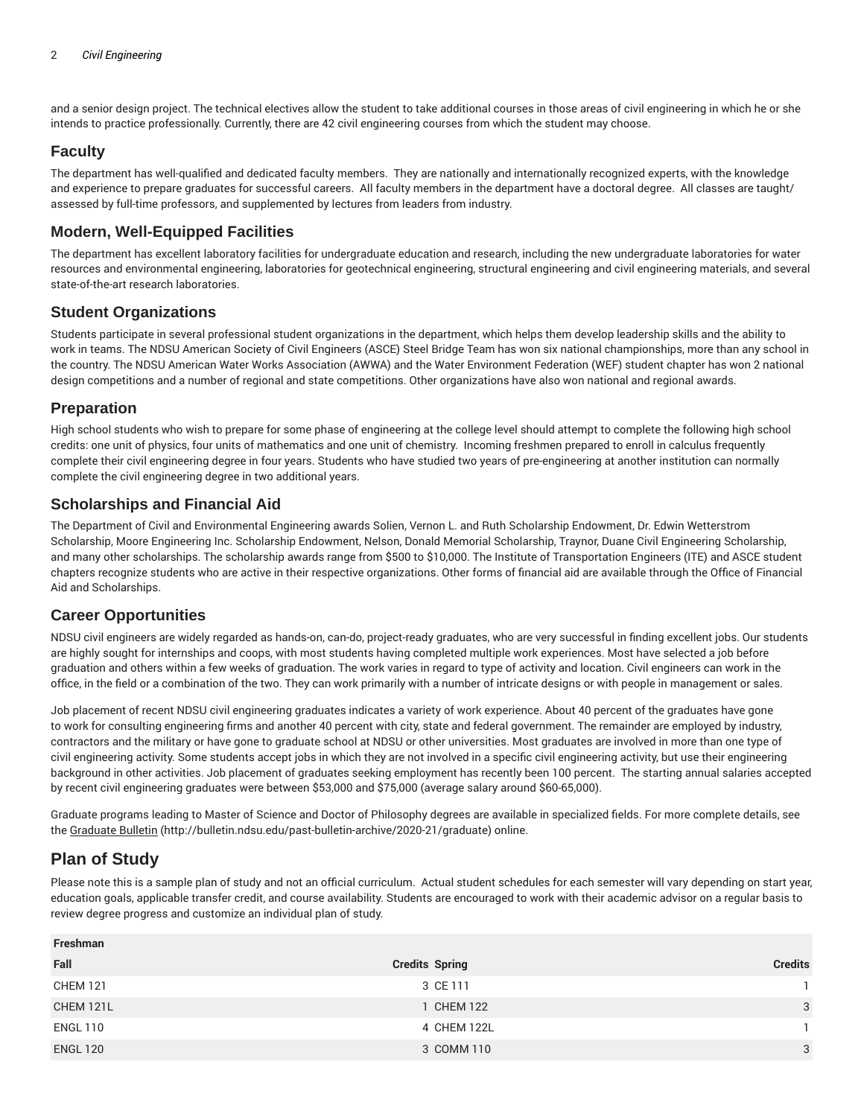and a senior design project. The technical electives allow the student to take additional courses in those areas of civil engineering in which he or she intends to practice professionally. Currently, there are 42 civil engineering courses from which the student may choose.

# **Faculty**

The department has well-qualified and dedicated faculty members. They are nationally and internationally recognized experts, with the knowledge and experience to prepare graduates for successful careers. All faculty members in the department have a doctoral degree. All classes are taught/ assessed by full-time professors, and supplemented by lectures from leaders from industry.

## **Modern, Well-Equipped Facilities**

The department has excellent laboratory facilities for undergraduate education and research, including the new undergraduate laboratories for water resources and environmental engineering, laboratories for geotechnical engineering, structural engineering and civil engineering materials, and several state-of-the-art research laboratories.

#### **Student Organizations**

Students participate in several professional student organizations in the department, which helps them develop leadership skills and the ability to work in teams. The NDSU American Society of Civil Engineers (ASCE) Steel Bridge Team has won six national championships, more than any school in the country. The NDSU American Water Works Association (AWWA) and the Water Environment Federation (WEF) student chapter has won 2 national design competitions and a number of regional and state competitions. Other organizations have also won national and regional awards.

#### **Preparation**

High school students who wish to prepare for some phase of engineering at the college level should attempt to complete the following high school credits: one unit of physics, four units of mathematics and one unit of chemistry. Incoming freshmen prepared to enroll in calculus frequently complete their civil engineering degree in four years. Students who have studied two years of pre-engineering at another institution can normally complete the civil engineering degree in two additional years.

## **Scholarships and Financial Aid**

The Department of Civil and Environmental Engineering awards Solien, Vernon L. and Ruth Scholarship Endowment, Dr. Edwin Wetterstrom Scholarship, Moore Engineering Inc. Scholarship Endowment, Nelson, Donald Memorial Scholarship, Traynor, Duane Civil Engineering Scholarship, and many other scholarships. The scholarship awards range from \$500 to \$10,000. The Institute of Transportation Engineers (ITE) and ASCE student chapters recognize students who are active in their respective organizations. Other forms of financial aid are available through the Office of Financial Aid and Scholarships.

## **Career Opportunities**

NDSU civil engineers are widely regarded as hands-on, can-do, project-ready graduates, who are very successful in finding excellent jobs. Our students are highly sought for internships and coops, with most students having completed multiple work experiences. Most have selected a job before graduation and others within a few weeks of graduation. The work varies in regard to type of activity and location. Civil engineers can work in the office, in the field or a combination of the two. They can work primarily with a number of intricate designs or with people in management or sales.

Job placement of recent NDSU civil engineering graduates indicates a variety of work experience. About 40 percent of the graduates have gone to work for consulting engineering firms and another 40 percent with city, state and federal government. The remainder are employed by industry, contractors and the military or have gone to graduate school at NDSU or other universities. Most graduates are involved in more than one type of civil engineering activity. Some students accept jobs in which they are not involved in a specific civil engineering activity, but use their engineering background in other activities. Job placement of graduates seeking employment has recently been 100 percent. The starting annual salaries accepted by recent civil engineering graduates were between \$53,000 and \$75,000 (average salary around \$60-65,000).

Graduate programs leading to Master of Science and Doctor of Philosophy degrees are available in specialized fields. For more complete details, see the Graduate Bulletin (http://bulletin.ndsu.edu/past-bulletin-archive/2020-21/graduate) online.

# **Plan of Study**

Please note this is a sample plan of study and not an official curriculum. Actual student schedules for each semester will vary depending on start year, education goals, applicable transfer credit, and course availability. Students are encouraged to work with their academic advisor on a regular basis to review degree progress and customize an individual plan of study.

| <b>Credits Spring</b> | <b>Credits</b> |
|-----------------------|----------------|
| 3 CE 111              |                |
| 1 CHEM 122            | 3              |
| 4 CHEM 122L           |                |
| 3 COMM 110            | 3              |
|                       |                |